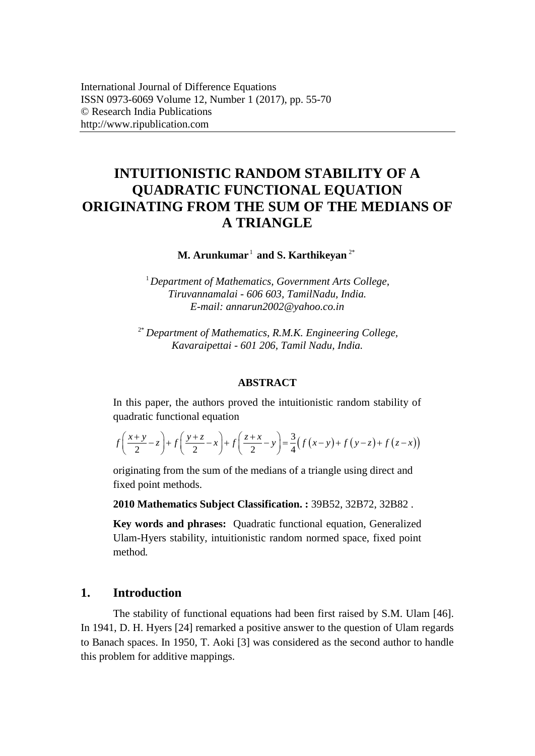# **INTUITIONISTIC RANDOM STABILITY OF A QUADRATIC FUNCTIONAL EQUATION ORIGINATING FROM THE SUM OF THE MEDIANS OF A TRIANGLE**

**M. Arunkumar** 1 **and S. Karthikeyan** 2\*

1 *Department of Mathematics, Government Arts College, Tiruvannamalai - 606 603, TamilNadu, India. E-mail: [annarun2002@yahoo.co.in](mailto:annarun2002@yahoo.co.in)*

2\* *Department of Mathematics, R.M.K. Engineering College, Kavaraipettai - 601 206, Tamil Nadu, India.* 

## **ABSTRACT**

In this paper, the authors proved the intuitionistic random stability of quadratic functional equation  
\n
$$
f\left(\frac{x+y}{2}-z\right)+f\left(\frac{y+z}{2}-x\right)+f\left(\frac{z+x}{2}-y\right)=\frac{3}{4}\left(f(x-y)+f(y-z)+f(z-x)\right)
$$

originating from the sum of the medians of a triangle using direct and fixed point methods.

**2010 Mathematics Subject Classification. :** 39B52, 32B72, 32B82 .

**Key words and phrases:** Quadratic functional equation, Generalized Ulam-Hyers stability, intuitionistic random normed space, fixed point method*.*

# **1. Introduction**

The stability of functional equations had been first raised by S.M. Ulam [46]. In 1941, D. H. Hyers [24] remarked a positive answer to the question of Ulam regards to Banach spaces. In 1950, T. Aoki [3] was considered as the second author to handle this problem for additive mappings.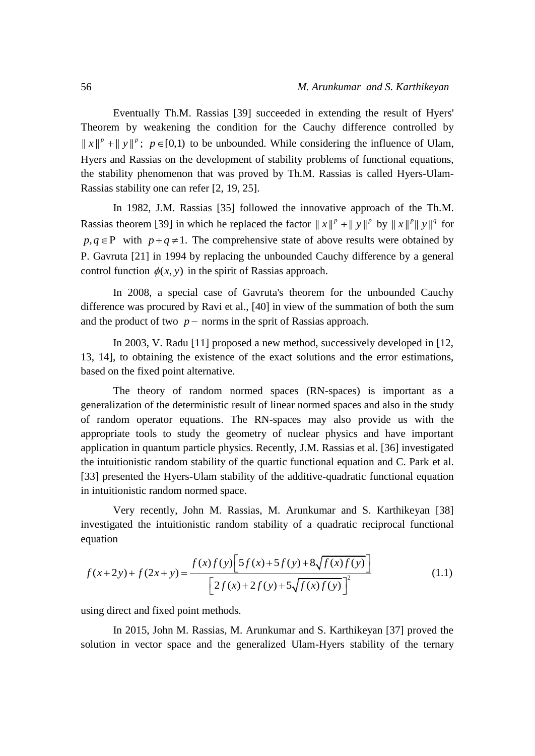Eventually Th.M. Rassias [39] succeeded in extending the result of Hyers' Theorem by weakening the condition for the Cauchy difference controlled by  $||x||^p + ||y||^p$ ;  $p \in [0,1)$  to be unbounded. While considering the influence of Ulam, Hyers and Rassias on the development of stability problems of functional equations, the stability phenomenon that was proved by Th.M. Rassias is called Hyers-Ulam-Rassias stability one can refer [2, 19, 25].

In 1982, J.M. Rassias [35] followed the innovative approach of the Th.M. Rassias theorem [39] in which he replaced the factor  $||x||^p + ||y||^p$  by  $||x||^p||y||^q$  for  $p, q \in P$  with  $p + q \neq 1$ . The comprehensive state of above results were obtained by P. Gavruta [21] in 1994 by replacing the unbounded Cauchy difference by a general control function  $\phi(x, y)$  in the spirit of Rassias approach.

In 2008, a special case of Gavruta's theorem for the unbounded Cauchy difference was procured by Ravi et al., [40] in view of the summation of both the sum and the product of two  $p$  – norms in the sprit of Rassias approach.

In 2003, V. Radu [11] proposed a new method, successively developed in [12, 13, 14], to obtaining the existence of the exact solutions and the error estimations, based on the fixed point alternative.

The theory of random normed spaces (RN-spaces) is important as a generalization of the deterministic result of linear normed spaces and also in the study of random operator equations. The RN-spaces may also provide us with the appropriate tools to study the geometry of nuclear physics and have important application in quantum particle physics. Recently, J.M. Rassias et al. [36] investigated the intuitionistic random stability of the quartic functional equation and C. Park et al. [33] presented the Hyers-Ulam stability of the additive-quadratic functional equation in intuitionistic random normed space.

Very recently, John M. Rassias, M. Arunkumar and S. Karthikeyan [38] investigated the intuitionistic random stability of a quadratic reciprocal functional equation

Investigated the intuitionistic random stability of a quadratic reciprocal functional equation

\n
$$
f(x+2y) + f(2x+y) = \frac{f(x)f(y)[5f(x)+5f(y)+8\sqrt{f(x)f(y)}]}{[2f(x)+2f(y)+5\sqrt{f(x)f(y)}]^2}
$$
\n(1.1)

using direct and fixed point methods.

In 2015, John M. Rassias, M. Arunkumar and S. Karthikeyan [37] proved the solution in vector space and the generalized Ulam-Hyers stability of the ternary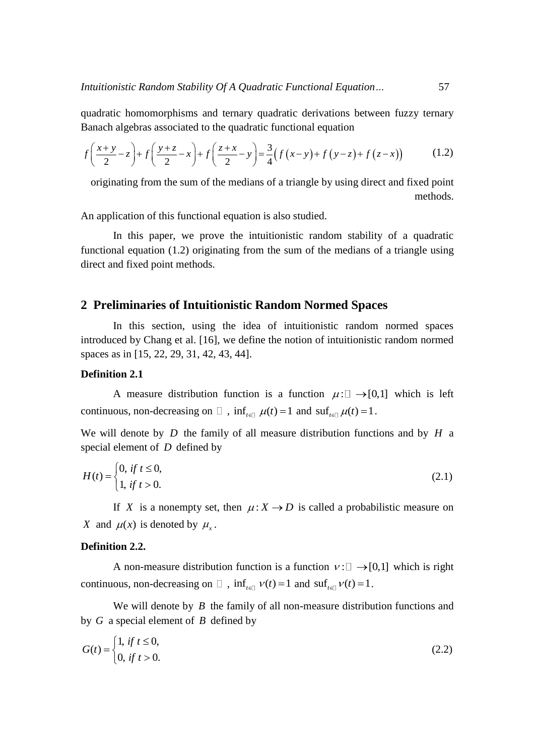quadratic homomorphisms and ternary quadratic derivations between fuzzy ternary Banach algebras associated to the quadratic functional equation  
\n
$$
f\left(\frac{x+y}{2}-z\right)+f\left(\frac{y+z}{2}-x\right)+f\left(\frac{z+x}{2}-y\right)=\frac{3}{4}\left(f(x-y)+f(y-z)+f(z-x)\right) \qquad (1.2)
$$

originating from the sum of the medians of a triangle by using direct and fixed point methods.

An application of this functional equation is also studied.

In this paper, we prove the intuitionistic random stability of a quadratic functional equation (1.2) originating from the sum of the medians of a triangle using direct and fixed point methods.

# **2 Preliminaries of Intuitionistic Random Normed Spaces**

In this section, using the idea of intuitionistic random normed spaces introduced by Chang et al. [16], we define the notion of intuitionistic random normed spaces as in [15, 22, 29, 31, 42, 43, 44].

# **Definition 2.1**

A measure distribution function is a function  $\mu: \Box \rightarrow [0,1]$  which is left continuous, non-decreasing on  $\Box$ ,  $\inf_{t \in \Box} \mu(t) = 1$  and  $\sup_{t \in \Box} \mu(t) = 1$ .

We will denote by  $D$  the family of all measure distribution functions and by  $H$  a special element of *D* defined by

$$
H(t) = \begin{cases} 0, & \text{if } t \le 0, \\ 1, & \text{if } t > 0. \end{cases}
$$
 (2.1)

If X is a nonempty set, then  $\mu: X \to D$  is called a probabilistic measure on *X* and  $\mu(x)$  is denoted by  $\mu_x$ .

## **Definition 2.2.**

A non-measure distribution function is a function  $v: \Box \rightarrow [0,1]$  which is right continuous, non-decreasing on  $\Box$ ,  $\inf_{t \in \Box} v(t) = 1$  and  $\sup_{t \in \Box} v(t) = 1$ .

We will denote by  $B$  the family of all non-measure distribution functions and by *G* a special element of *B* defined by

$$
G(t) = \begin{cases} 1, & \text{if } t \le 0, \\ 0, & \text{if } t > 0. \end{cases}
$$
 (2.2)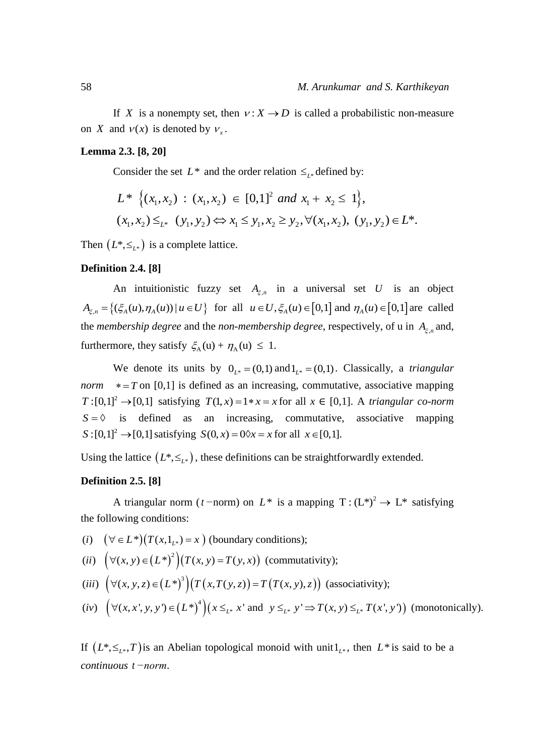If X is a nonempty set, then  $v: X \to D$  is called a probabilistic non-measure on *X* and  $v(x)$  is denoted by  $v_x$ .

#### **Lemma 2.3. [8, 20]**

Consider the set  $L^*$  and the order relation  $\leq_{L^*}$  defined by:

Consider the set 
$$
L^*
$$
 and the order relation  $\leq_{L^*}$  defined by:\n\n
$$
L^* \left\{ (x_1, x_2) : (x_1, x_2) \in [0, 1]^2 \text{ and } x_1 + x_2 \le 1 \right\},
$$
\n
$$
(x_1, x_2) \leq_{L^*} (y_1, y_2) \Leftrightarrow x_1 \leq y_1, x_2 \geq y_2, \forall (x_1, x_2), (y_1, y_2) \in L^*.
$$

Then  $(L^*, \leq_{L^*})$  is a complete lattice.

#### **Definition 2.4. [8]**

An intuitionistic fuzzy set  $A_{\xi,n}$  in a universal set U is an object An intuitionistic fuzzy set  $A_{\xi,n}$  in a universal set *U* is an object<br>  $A_{\xi,n} = \{ (\xi_A(u), \eta_A(u)) | u \in U \}$  for all  $u \in U, \xi_A(u) \in [0,1]$  and  $\eta_A(u) \in [0,1]$  are called the *membership degree* and the *non-membership degree*, respectively, of u in  $A_{\xi,n}$  and, furthermore, they satisfy  $\xi_A(u) + \eta_A(u) \leq 1$ .

We denote its units by  $0_{L^*} = (0,1)$  and  $1_{L^*} = (0,1)$ . Classically, a *triangular norm*  $*=T$  on [0,1] is defined as an increasing, commutative, associative mapping  $T:[0,1]^2 \rightarrow [0,1]$  satisfying  $T(1,x) = 1 * x = x$  for all  $x \in [0,1]$ . A *triangular co-norm*  $S = \Diamond$  is defined as an increasing, commutative, associative mapping  $S: [0,1]^2 \to [0,1]$  satisfying  $S(0, x) = 0 \, \& x = x$  for all  $x \in [0,1]$ .

Using the lattice  $(L^*, \leq_{L^*})$ , these definitions can be straightforwardly extended.

#### **Definition 2.5. [8]**

A triangular norm (*t* −norm) on  $L^*$  is a mapping  $T: (L^*)^2 \to L^*$  satisfying the following conditions: A triangular norm (*t*-norm) on  $L^*$  is a make following conditions:<br>
(*i*)  $(\forall \in L^*)(T(x, 1_{L^*}) = x)$  (boundary conditions); the following conditions:<br>
(*i*)  $(\forall \in L^*) (T(x, 1_{L^*}) = x)$  (boundary conditions);<br>
(*ii*)  $(\forall (x, y) \in (L^*)^2)(T(x, y) = T(y, x))$  (commutativity);

(i) 
$$
(\forall \in L^*)(T(x, 1_{L^*}) = x)
$$
 (boundary conditions);

 $(\forall (x, y) \in (L^*)^2)(T(x, y) = T(y, x))$ 

- $(\forall (x, y, z) \in (L^*)^3)(T(x, T(y, z)) = T(T(x, y), z))$ (*i*)  $(\forall \in L^*) (T(x, 1_{L^*}) = x)$  (boundary conditions);<br>
(*ii*)  $(\forall (x, y) \in (L^*)^2) (T(x, y) = T(y, x))$  (commutativity);<br>
(*iii*)  $(\forall (x, y, z) \in (L^*)^3) (T(x, T(y, z)) = T(T(x, y), z))$  (associativity); *i*)  $(\forall \in L^*)(T(x, 1_{L^*}) = x)$  (boundary conditions);<br> *ii*)  $(\forall (x, y) \in (L^*)^2)(T(x, y) = T(y, x))$  (commutat<br> *iii*)  $(\forall (x, y, z) \in (L^*)^3)(T(x, T(y, z)) = T(T(x, y), z)$  $\forall \in L^*$   $(T(x, 1_{L^*}) = x)$  (boundary conditions);<br>  $\forall (x, y) \in (L^*)^2 (T(x, y) = T(y, x))$  (commutativ<br>  $\forall (x, y, z) \in (L^*)^3 (T(x, T(y, z)) = T(T(x, y), z))$
- $(\forall (x, x', y, y') \in (L^*)^4)(x \leq_{L^*} x' \text{ and } y \leq_{L^*} y' \Rightarrow T(x, y) \leq_{L^*} T(x', y'))$  $\forall (x, y) \in (L^*)^2 \Big( T(x, y) = T(y, x) \Big)$  (commutativity);<br>  $\forall (x, y, z) \in (L^*)^3 \Big( T(x, T(y, z)) = T(T(x, y), z) \Big)$  (associativity);<br>  $\forall (x, x', y, y') \in (L^*)^4 \Big) (x \leq_{L^*} x' \text{ and } y \leq_{L^*} y' \Rightarrow T(x, y) \leq_{L^*} T(x', y') \Big)$  (monotonically). (*ii*)  $(\forall (x, y) \in (L^*)^2)(T(x, y) = T(y, x))$  (commutativity);<br>
(*iii*)  $(\forall (x, y, z) \in (L^*)^3)(T(x, T(y, z)) = T(T(x, y), z))$  (associativity);<br>
(*iv*)  $(\forall (x, x', y, y') \in (L^*)^4)(x \leq_{L^*} x'$  and  $y \leq_{L^*} y' \Rightarrow T(x, y) \leq_{L^*} T(x', y')$  (monotonical *ii*)  $(\forall (x, y) \in (L^*)^{\circ}) (T(x, y) = T(y, x))$  (commutativity);<br> *iii*)  $(\forall (x, y, z) \in (L^*)^3) (T(x, T(y, z)) = T(T(x, y), z))$  (associativity);<br> *iv*)  $(\forall (x, x', y, y') \in (L^*)^4) (x \leq_{L^*} x' \text{ and } y \leq_{L^*} y' \Rightarrow T(x, y) \leq_{L^*} T(x', y))$

If  $(L^*, \leq_{L^*}, T)$  is an Abelian topological monoid with unit  $1_{L^*}$ , then  $L^*$  is said to be a *continuous t −norm*.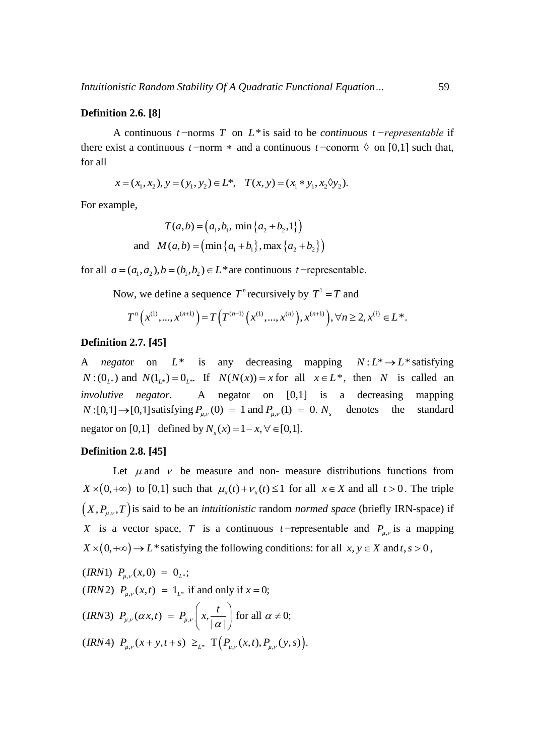#### **Definition 2.6. [8]**

A continuous *t* −norms *T* on *L*\* is said to be *continuous t −representable* if there exist a continuous  $t$  –norm  $*$  and a continuous  $t$  –conorm  $\Diamond$  on [0,1] such that, for all  $x = (x_1, x_2), y = (y_1, y_2) \in L^*$ ,  $T(x, y) = (x_1 * y_1, x_2 \Diamond y_2).$ 

$$
x = (x_1, x_2), y = (y_1, y_2) \in L^*
$$
,  $T(x, y) = (x_1 * y_1, x_2 \Diamond y_2)$ .

For example,

For example,  
\n
$$
T(a,b) = (a_1, b_1, \min\{a_2 + b_2, 1\})
$$
\nand 
$$
M(a,b) = (\min\{a_1 + b_1\}, \max\{a_2 + b_2\})
$$

for all  $a = (a_1, a_2)$ ,  $b = (b_1, b_2) \in L^*$  are continuous *t*—representable.

Now, we define a sequence  $T^n$  recursively by  $T^1 = T$  and

w, we define a sequence 
$$
T^n
$$
 recursively by  $T^1 = T$  and  
\n
$$
T^n(x^{(1)},...,x^{(n+1)}) = T(T^{(n-1)}(x^{(1)},...,x^{(n)}),x^{(n+1)}), \forall n \ge 2, x^{(i)} \in L^*.
$$

## **Definition 2.7. [45]**

A *negator* on  $L^*$  is any decreasing mapping  $N: L^* \to L^*$  satisfying  $N: (0_{L^*})$  and  $N(1_{L^*}) = 0_{L^*}$ . If  $N(N(x)) = x$  for all  $x \in L^*$ , then N is called an *involutive negator*. A negator on [0,1] is a decreasing mapping *N* : [0,1]  $\rightarrow$  [0,1] satisfying  $P_{\mu,\nu}(0) = 1$  and  $P_{\mu,\nu}(1) = 0$ .  $N_s$ the standard negator on [0,1] defined by  $N_s(x) = 1 - x, \forall \in [0,1].$ 

#### **Definition 2.8. [45]**

Let  $\mu$  and  $\nu$  be measure and non- measure distributions functions from  $X \times (0, +\infty)$  to [0,1] such that  $\mu_x(t) + \nu_x(t) \le 1$  for all  $x \in X$  and all  $t > 0$ . The triple  $(X, P_{\mu,\nu}, T)$  is said to be an *intuitionistic* random *normed space* (briefly IRN-space) if *X* is a vector space, *T* is a continuous *t*—representable and  $P_{\mu,\nu}$  is a mapping  $X \times (0, +\infty) \to L^*$  satisfying the following conditions: for all  $x, y \in X$  and  $t, s > 0$ ,<br>(*IRN*1)  $P_{\mu,\nu}(x,0) = 0_{L^*};$ 

(IRM1) 
$$
P_{\mu,\nu}(x,0) = 0_{L^*};
$$

\n(IRM2)  $P_{\mu,\nu}(x,t) = 1_{L^*}$  if and only if  $x = 0;$ 

\n(IRM3)  $P_{\mu,\nu}(\alpha x,t) = P_{\mu,\nu}\left(x, \frac{t}{|\alpha|}\right)$  for all  $\alpha \neq 0;$ 

\n(IRM4)  $P_{\mu,\nu}(x+y,t+s) \geq_{L^*} \mathbb{T}\left(P_{\mu,\nu}(x,t), P_{\mu,\nu}(y,s)\right).$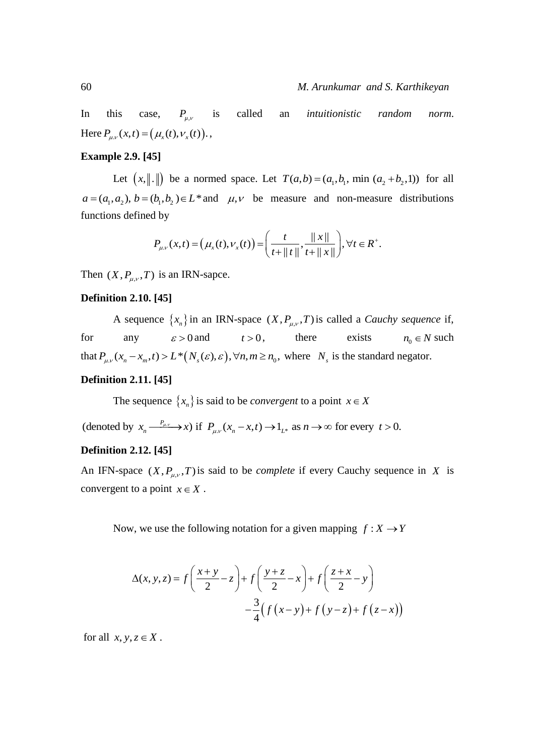In this case,  $P_{\mu,\nu}$ called an *intuitionistic random norm*. Here  $P_{\mu,\nu}(x,t) = (\mu_x(t), \nu_x(t))$ .,

# **Example 2.9. [45]**

Let  $(x, \| \cdot \|)$  be a normed space. Let  $T(a,b) = (a_1, b_1, \min(a_2 + b_2, 1))$  for all  $a = (a_1, a_2), b = (b_1, b_2) \in L^*$  and  $\mu, \nu$  be measure and non-measure distributions functions defined by

d by  
\n
$$
P_{\mu,\nu}(x,t) = (\mu_x(t), \nu_x(t)) = \left(\frac{t}{t + ||t||}, \frac{||x||}{t + ||x||}\right), \forall t \in R^+.
$$

Then  $(X, P_{\mu,\nu}, T)$  is an IRN-sapce.

## **Definition 2.10. [45]**

A sequence  $\{x_n\}$  in an IRN-space  $(X, P_{\mu,\nu}, T)$  is called a *Cauchy sequence* if, for any  $\varepsilon > 0$  and  $t > 0$ there exists  $n_0 \in N$  such for any  $\varepsilon > 0$  and  $t > 0$ , there exists  $n_0 \in N$ <br>that  $P_{\mu,\nu}(x_n - x_m, t) > L^*(N_s(\varepsilon), \varepsilon), \forall n, m \ge n_0$ , where  $N_s$  is the standard negator.

# **Definition 2.11. [45]**

The sequence  $\{x_n\}$  is said to be *convergent* to a point  $x \in X$ 

. The sequence  $\{x_n\}$  is said to be *convergent* to a point  $x \in X$ <br>(denoted by  $x_n \xrightarrow{P_{\mu\nu}} x$ ) if  $P_{\mu\nu}(x_n - x, t) \rightarrow 1_{L^*}$  as  $n \rightarrow \infty$  for every  $t > 0$ .

#### **Definition 2.12. [45]**

An IFN-space  $(X, P_{\mu,\nu}, T)$  is said to be *complete* if every Cauchy sequence in X is convergent to a point  $x \in X$ .

Now, we use the following notation for a given mapping  $f: X \to Y$ 

$$
\Delta(x, y, z) = f\left(\frac{x+y}{2} - z\right) + f\left(\frac{y+z}{2} - x\right) + f\left(\frac{z+x}{2} - y\right)
$$

$$
-\frac{3}{4}\left(f\left(x-y\right) + f\left(y-z\right) + f\left(z-x\right)\right)
$$

for all  $x, y, z \in X$ .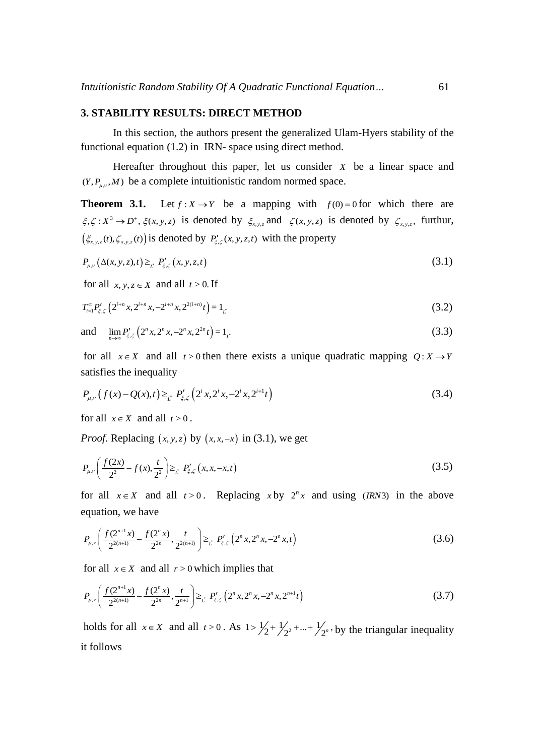#### **3. STABILITY RESULTS: DIRECT METHOD**

In this section, the authors present the generalized Ulam-Hyers stability of the functional equation (1.2) in IRN- space using direct method.

Hereafter throughout this paper, let us consider *X* be a linear space and  $(Y, P_{\mu,\nu}, M)$  be a complete intuitionistic random normed space.

**Theorem 3.1.** Let  $f: X \to Y$  be a mapping with  $f(0) = 0$  for which there are  $\xi, \zeta: X^3 \to D^*, \xi(x, y, z)$  is denoted by  $\xi_{x, y, z}$  and  $\zeta(x, y, z)$  is denoted by  $\zeta_{x, y, z}$ , furthur,  $(\xi_{x,y,z}(t), \zeta_{x,y,z}(t))$  is denoted by  $P'_{\xi,\zeta}(x, y, z, t)$  with the property

$$
P_{\mu,\nu}\left(\Delta(x,y,z),t\right) \geq_{\underline{t}} P'_{\xi,\zeta}\left(x,y,z,t\right) \tag{3.1}
$$

for all  $x, y, z \in X$  and all  $t > 0$ . If

$$
T_{i=1}^{\infty} P_{\xi,\zeta}^{\prime} \left( 2^{i+n} x, 2^{i+n} x, -2^{i+n} x, 2^{2(i+n)} t \right) = 1_{L^{*}} \tag{3.2}
$$

and  $\lim_{n\to\infty} P'_{\xi,\zeta} \left( 2^n x, 2^n x, -2^n x, 2^{2n} t \right) = 1$ <sub>*i*</sub></sub> (3.3)

for all  $x \in X$  and all  $t > 0$  then there exists a unique quadratic mapping  $Q: X \to Y$ satisfies the inequality

satisfies the inequality  

$$
P_{\mu,\nu}\left(f(x) - Q(x),t\right) \geq_{t^*} P'_{\xi,\zeta}\left(2^i x, 2^i x, -2^i x, 2^{i+1}t\right)
$$
(3.4)

for all  $x \in X$  and all  $t > 0$ .

*Proof.* Replacing  $(x, y, z)$  by  $(x, x, -x)$  in (3.1), we get

$$
P_{\mu,\nu}\left(\frac{f(2x)}{2^2} - f(x),\frac{t}{2^2}\right) \geq_{\mathcal{L}} P'_{\xi,\zeta}\left(x,x,-x,t\right) \tag{3.5}
$$

for all  $x \in X$  and all  $t > 0$ . Replacing  $x$  by  $2^n x$  and using (*IRN*3) in the above equation, we have

equation, we have  
\n
$$
P_{\mu,\nu}\left(\frac{f(2^{n+1}x)}{2^{2(n+1)}} - \frac{f(2^n x)}{2^{2n}}, \frac{t}{2^{2(n+1)}}\right) \geq_{\mathcal{L}} P'_{\xi,\zeta}\left(2^n x, 2^n x, -2^n x, t\right)
$$
\n(3.6)

for all 
$$
x \in X
$$
 and all  $r > 0$  which implies that  
\n
$$
P_{\mu,\nu}\left(\frac{f(2^{n+1}x)}{2^{2(n+1)}} - \frac{f(2^n x)}{2^{2n}}, \frac{t}{2^{n+1}}\right) \geq_{\mathcal{L}} P'_{\xi,\zeta}\left(2^n x, 2^n x, -2^n x, 2^{n+1}t\right)
$$
\n(3.7)

holds for all  $x \in X$  and all  $t > 0$ . As  $1 > \frac{1}{2} + \frac{1}{2^2} + \dots + \frac{1}{2^n}$ , by the triangular inequality it follows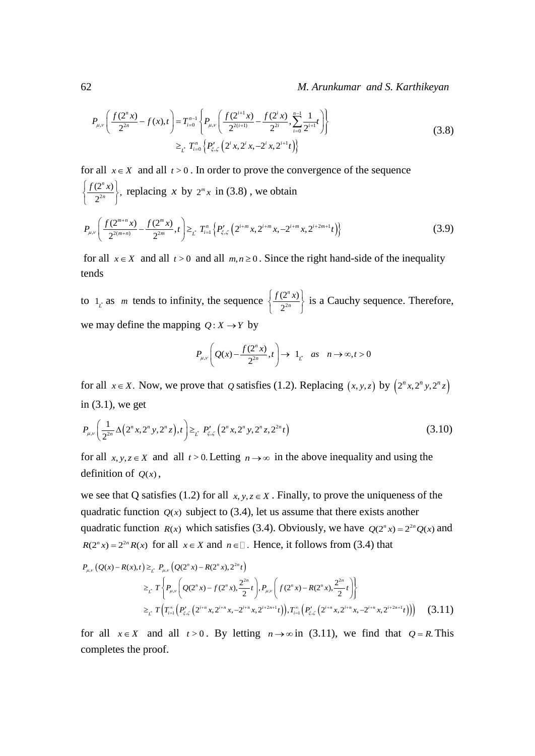## 62 *M. Arunkumar and S. Karthikeyan*

$$
P_{\mu,\nu}\left(\frac{f(2^n x)}{2^{2n}} - f(x),t\right) = T_{i=0}^{n-1} \left\{ P_{\mu,\nu}\left(\frac{f(2^{i+1} x)}{2^{2(i+1)}} - \frac{f(2^i x)}{2^{2i}}, \sum_{i=0}^{n-1} \frac{1}{2^{i+1}}t\right) \right\}
$$
  

$$
\geq_{\mathcal{L}} T_{i=0}^n \left\{ P'_{\xi,\zeta}\left(2^i x, 2^i x, -2^i x, 2^{i+1}t\right) \right\}
$$
(3.8)

for all 
$$
x \in X
$$
 and all  $t > 0$ . In order to prove the convergence of the sequence  
\n
$$
\left\{\frac{f(2^n x)}{2^{2n}}\right\}
$$
, replacing x by  $2^m x$  in (3.8), we obtain  
\n
$$
P_{n,m}\left(\frac{f(2^{m+n}x)}{2^{2m}} - \frac{f(2^m x)}{2^n}, t\right) \geq \frac{T^n}{2^n} \left\{P'_{n,m}\left\{P'_{n,m}\left(2^{i+m}x, 2^{i+m}x, 2^{i+2m+1}t\right)\right\}\right\}
$$

$$
\left\{\n\begin{array}{l}\n2^{2n} \\
2^{2m}\n\end{array}\n\right\}^T\n\left\{\n\begin{array}{l}\n2^{m}x \\
2^{2(m+n)}\n\end{array}\n\right\} =\n\sum_{\substack{t\\i}}\n\left\{\nT_{i=1}^n\left\{P_{\xi,\zeta}^{\prime}\left(2^{i+m}x,2^{i+m}x,-2^{i+m}x,2^{i+2m+1}t\right)\right\}\n\right\}
$$
\n(3.9)

for all  $x \in X$  and all  $t > 0$  and all  $m, n \ge 0$ . Since the right hand-side of the inequality tends

to  $1_{\mathcal{L}}$  as *m* tends to infinity, the sequence  $\frac{\sqrt{2}}{2}$  $(2^n x)$ 2 *n*  $\left\{\frac{f(2^n x)}{2^{2n}}\right\}$  is a Cauchy sequence. Therefore, we may define the mapping  $Q: X \rightarrow Y$  by

$$
P_{\mu,\nu}\left(Q(x) - \frac{f(2^n x)}{2^{2n}}, t\right) \to 1_{L^*} \quad \text{as} \quad n \to \infty, t > 0
$$

for all  $x \in X$ . Now, we prove that Q satisfies (1.2). Replacing  $(x, y, z)$  by  $(2^n x, 2^n y, 2^n z)$ in (3.1), we get

in (3.1), we get  
\n
$$
P_{\mu,\nu}\left(\frac{1}{2^{2n}}\Delta\left(2^n x,2^n y,2^n z\right),t\right) \geq_{\mathcal{L}} P'_{\xi,\zeta}\left(2^n x,2^n y,2^n z,2^{2n} t\right)
$$
\n(3.10)

for all  $x, y, z \in X$  and all  $t > 0$ . Letting  $n \to \infty$  in the above inequality and using the definition of  $Q(x)$ ,

we see that Q satisfies (1.2) for all  $x, y, z \in X$ . Finally, to prove the uniqueness of the quadratic function  $Q(x)$  subject to (3.4), let us assume that there exists another quadratic function  $R(x)$  which satisfies (3.4). Obviously, we have  $Q(2^n x) = 2^{2n} Q(x)$  and  $R(2^n x) = 2^{2n} R(x)$  for all  $x \in X$  and  $n \in \mathbb{Z}$ . Hence, it follows from (3.4) that (x) =  $2^{2n} R(x)$  for all  $x \in X$  and  $n \in (x) - R(x), t \geq t^2 P_{\mu\nu} (Q(2^n x) - R(2^n x), 2$ *P<sub>u,v</sub>*  $(Q^nx) = 2^{2n} R(x)$  for all  $x \in X$  and  $n \in \mathbb{Z}$ <br>*P<sub>u,v</sub>*  $(Q(x) - R(x), t) \geq t^2 P_{\mu, y} (Q(2^n x) - R(2^n x), 2^{2^n} t)$ 

$$
R(2^x x) = 2^{2x} R(x)
$$
 for all  $x \in X$  and  $n \in \mathbb{L}$ . Hence, it follows from (3.4) that  
\n
$$
P_{\mu,\nu}(Q(x) - R(x),t) \geq \int_{L^2} P_{\mu,\nu}(Q(2^n x) - R(2^n x), 2^{2n} t)
$$
\n
$$
\geq \int_{L^2} T\left\{ P_{\mu,\nu}\left(Q(2^n x) - f(2^n x), \frac{2^{2n}}{2}t\right), P_{\mu,\nu}\left(f(2^n x) - R(2^n x), \frac{2^{2n}}{2}t\right) \right\}
$$
\n
$$
\geq \int_{L^2} T\left(T_{i-1}^{\infty}\left(P'_{\xi,\zeta}\left(2^{i+n} x, 2^{i+n} x, -2^{i+n} x, 2^{i+2n+1}t\right)\right), T_{i-1}^{\infty}\left(P'_{\xi,\zeta}\left(2^{i+n} x, 2^{i+n} x, -2^{i+n} x, 2^{i+2n+1}t\right)\right)\right) \tag{3.11}
$$

for all  $x \in X$  and all  $t > 0$ . By letting  $n \to \infty$  in (3.11), we find that  $Q = R$ . This completes the proof.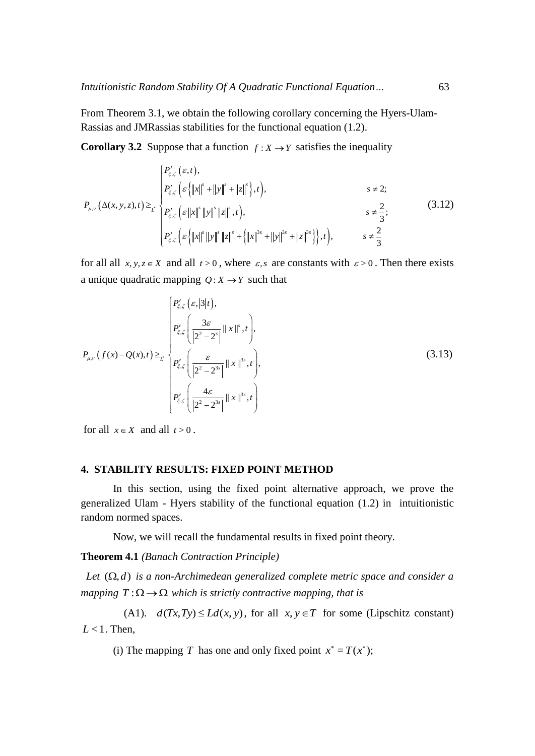From Theorem 3.1, we obtain the following corollary concerning the Hyers-Ulam-Rassias and JMRassias stabilities for the functional equation (1.2).

**Corollary 3.2** Suppose that a function 
$$
f: X \to Y
$$
 satisfies the inequality\n
$$
\begin{cases}\nP'_{\xi,\zeta}(\varepsilon,t), \\
P'_{\xi,\zeta}(\varepsilon)[|x|^s + ||y|^s + ||z|^s), t), \\
P_{\mu,\nu}(\Delta(x,y,z),t) \geq \sum_{\zeta} P'_{\xi,\zeta}(\varepsilon ||x|^s ||y|^s ||z|^s, t), \\
P'_{\xi,\zeta}(\varepsilon ||x|^s ||y|^s ||z|^s + (||x||^{3s} + ||y||^{3s} + ||z||^{3s})\}, t), \qquad s \neq \frac{2}{3}.\n\end{cases} (3.12)
$$

for all all  $x, y, z \in X$  and all  $t > 0$ , where  $\varepsilon$ , *s* are constants with  $\varepsilon > 0$ . Then there exists a unique quadratic mapping  $Q: X \rightarrow Y$  such that

$$
P_{\mu,\nu}(f(x)-Q(x),t) \geq \sum_{t} \left\{ P_{\xi,\zeta}^{\prime}\left(\frac{3\varepsilon}{|2^{2}-2^{s}|}||x||^{s},t\right), \right\}
$$
\n
$$
P_{\mu,\nu}(f(x)-Q(x),t) \geq \sum_{t} \left\{ P_{\xi,\zeta}^{\prime}\left(\frac{\varepsilon}{|2^{2}-2^{3s}|}||x||^{3s},t\right), \right\}
$$
\n
$$
P_{\xi,\zeta}^{\prime}\left(\frac{4\varepsilon}{|2^{2}-2^{3s}|}||x||^{3s},t\right) \right\}
$$
\n(3.13)

for all  $x \in X$  and all  $t > 0$ .

## **4. STABILITY RESULTS: FIXED POINT METHOD**

In this section, using the fixed point alternative approach, we prove the generalized Ulam - Hyers stability of the functional equation (1.2) in intuitionistic random normed spaces.

Now, we will recall the fundamental results in fixed point theory.

**Theorem 4.1** *(Banach Contraction Principle)* 

Let  $(\Omega, d)$  is a non-Archimedean generalized complete metric space and consider a *mapping*  $T : \Omega \to \Omega$  *which is strictly contractive mapping, that is* 

(A1).  $d(Tx, Ty) \le Ld(x, y)$ , for all  $x, y \in T$  for some (Lipschitz constant)  $L < 1$ . Then,

(i) The mapping T has one and only fixed point  $x^* = T(x^*)$ ;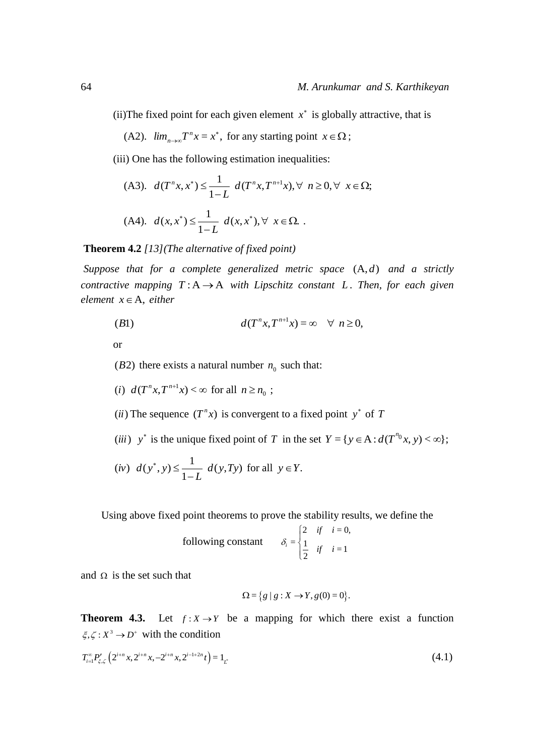(ii) The fixed point for each given element  $x^*$  is globally attractive, that is

(A2).  $\lim_{n\to\infty} T^n x = x^*$ ,  $\lim_{n\to\infty}T^n x = x$  $T^n x = x^*$ , for any starting point  $x \in \Omega$ ;

(iii) One has the following estimation inequalities:

(A3). 
$$
d(T^n x, x^*) \le \frac{1}{1-L} d(T^n x, T^{n+1} x), \forall n \ge 0, \forall x \in \Omega;
$$
  
(A4).  $d(x, x^*) \le \frac{1}{1-L} d(x, x^*), \forall x \in \Omega.$ 

**Theorem 4.2** *[13](The alternative of fixed point)* 

Suppose that for a complete generalized metric space  $(A,d)$  and a strictly *contractive mapping*  $T: A \rightarrow A$  *with Lipschitz constant L. Then, for each given*  $element \ x \in A$ , *either* 

$$
(B1) \t d(T^n x, T^{n+1} x) = \infty \quad \forall \; n \ge 0,
$$

or

( $B2$ ) there exists a natural number  $n_0$  such that:

- (*i*)  $d(T^n x, T^{n+1} x) < \infty$  for all  $n \ge n_0$ ;
- (*ii*) The sequence  $(T^n x)$  is convergent to a fixed point y<sup>\*</sup> of T
- (*iii*)  $y^*$  is the unique fixed point of T in the set  $Y = \{ y \in A : d(T^{n_0}x, y) < \infty \};$

(*iv*) 
$$
d(y^*, y) \le \frac{1}{1-L} d(y, Ty)
$$
 for all  $y \in Y$ .

Using above fixed point theorems to prove the stability results, we define the

following constant 
$$
\delta_i = \begin{cases} 2 & \text{if } i = 0, \\ \frac{1}{2} & \text{if } i = 1 \end{cases}
$$

and  $\Omega$  is the set such that

$$
\Omega = \{g \mid g : X \to Y, g(0) = 0\}.
$$

**Theorem 4.3.** Let  $f: X \to Y$  be a mapping for which there exist a function  $\xi, \zeta : X^3 \to D^+$  with the condition

$$
T_{i=1}^{\infty} P'_{\xi,\zeta} \left( 2^{i+n} x, 2^{i+n} x, -2^{i+n} x, 2^{i-1+2n} t \right) = 1_{L^*}
$$
\n(4.1)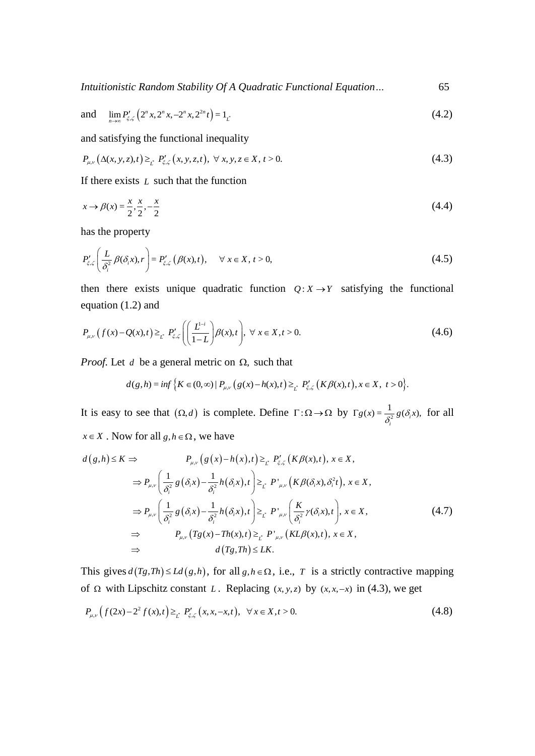*Intuitionistic Random Stability Of A Quadratic Functional Equation…* 65

and 
$$
\lim_{n \to \infty} P'_{\xi,\zeta} \left( 2^n x, 2^n x, -2^n x, 2^{2n} t \right) = 1_{L^*}
$$
 (4.2)

and satisfying the functional inequality  
\n
$$
P_{\mu,\nu}\left(\Delta(x,y,z),t\right) \geq_{\underline{t}} P'_{\xi,\zeta}\left(x,y,z,t\right), \ \forall \ x,y,z \in X, t > 0. \tag{4.3}
$$

If there exists *L* such that the function

$$
x \to \beta(x) = \frac{x}{2}, \frac{x}{2}, -\frac{x}{2}
$$
\n(4.4)

has the property

$$
P'_{\xi,\zeta}\left(\frac{L}{\delta_i^2}\beta(\delta_i x),r\right) = P'_{\xi,\zeta}\left(\beta(x),t\right), \quad \forall x \in X, t > 0,
$$
\n(4.5)

then there exists unique quadratic function  $Q: X \rightarrow Y$  satisfying the functional equation (1.2) and

equation (1.2) and  
\n
$$
P_{\mu,\nu}(f(x)-Q(x),t) \geq_{\mathcal{L}} P'_{\xi,\zeta} \left( \left( \frac{L^{1-i}}{1-L} \right) \beta(x),t \right), \ \forall \ x \in X, t > 0.
$$
\n(4.6)

*Proof.* Let *d* be a general metric on 
$$
\Omega
$$
, such that  
\n
$$
d(g,h) = \inf \{ K \in (0,\infty) \mid P_{\mu,\nu}(g(x)-h(x),t) \geq t \mid P'_{\xi,\zeta}(K\beta(x),t), x \in X, t > 0 \}.
$$

It is easy to see that  $(\Omega, d)$  is complete. Define  $\Gamma : \Omega \to \Omega$  by  $\Gamma g(x) = \frac{1}{s^2}$  $f(x) = \frac{1}{\delta_i^2} g(\delta_i x),$  $\Gamma g(x) = \frac{1}{\delta^2} g(\delta_i x)$ , for all

$$
x \in X \text{ . Now for all } g, h \in \Omega, \text{ we have}
$$
\n
$$
d(g, h) \le K \Rightarrow P_{\mu,\nu}(g(x) - h(x), t) \ge_{t^2} P'_{\xi,\zeta}(K\beta(x), t), x \in X,
$$
\n
$$
\Rightarrow P_{\mu,\nu}\left(\frac{1}{\delta_i^2}g(\delta_i x) - \frac{1}{\delta_i^2}h(\delta_i x), t\right) \ge_{t^2} P'_{\mu,\nu}(K\beta(\delta_i x), \delta_i^2 t), x \in X,
$$
\n
$$
\Rightarrow P_{\mu,\nu}\left(\frac{1}{\delta_i^2}g(\delta_i x) - \frac{1}{\delta_i^2}h(\delta_i x), t\right) \ge_{t^2} P'_{\mu,\nu}\left(\frac{K}{\delta_i^2}\gamma(\delta_i x), t\right), x \in X,
$$
\n
$$
\Rightarrow P_{\mu,\nu}(Tg(x) - Th(x), t) \ge_{t^2} P'_{\mu,\nu}(KL\beta(x), t), x \in X,
$$
\n
$$
\Rightarrow d(Tg, Th) \le LK.
$$
\n(4.7)

This gives  $d(Tg, Th) \le Ld(g,h)$ , for all  $g, h \in \Omega$ , i.e., T is a strictly contractive mapping

of 
$$
\Omega
$$
 with Lipschitz constant L. Replacing  $(x, y, z)$  by  $(x, x, -x)$  in (4.3), we get  
\n
$$
P_{\mu,\nu}\left(f(2x)-2^{2}f(x),t\right) \geq_{\mathcal{L}} P_{\xi,\zeta}'\left(x, x, -x, t\right), \quad \forall x \in X, t > 0. \tag{4.8}
$$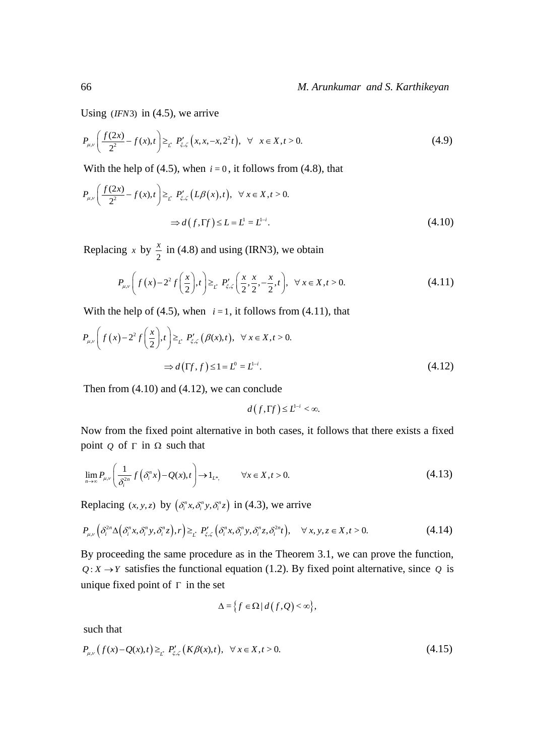Using  $(IFN3)$  in  $(4.5)$ , we arrive

Using 
$$
(IFN3)
$$
 in (4.5), we arrive  
\n
$$
P_{\mu,\nu}\left(\frac{f(2x)}{2^2} - f(x),t\right) \geq_{t} P'_{\xi,\zeta}\left(x,x,-x,2^2t\right), \ \forall \ x \in X, t > 0.
$$
\n(4.9)

With the help of (4.5), when 
$$
i = 0
$$
, it follows from (4.8), that  
\n
$$
P_{\mu,\nu}\left(\frac{f(2x)}{2^{2}} - f(x),t\right) \geq_{t} P'_{\xi,\zeta}\left(L\beta(x),t\right), \quad \forall x \in X, t > 0.
$$
\n
$$
\Rightarrow d\left(f,\Gamma f\right) \leq L = L^{1-i}.
$$
\n(4.10)

Replacing x by  $\frac{x}{2}$  $\frac{x}{5}$  in (4.8) and using (IRN3), we obtain

$$
P_{\mu,\nu}\left(f(x)-2^{2}f\left(\frac{x}{2}\right),t\right) \geq_{\mathcal{L}} P'_{\xi,\zeta}\left(\frac{x}{2},\frac{x}{2},-\frac{x}{2},t\right), \ \forall x \in X, t > 0. \tag{4.11}
$$

With the help of (4.5), when 
$$
i = 1
$$
, it follows from (4.11), that  
\n
$$
P_{\mu,\nu}\left(f(x)-2^2 f\left(\frac{x}{2}\right),t\right) \geq t P'_{\xi,\zeta}\left(\beta(x),t\right), \quad \forall x \in X, t > 0.
$$
\n
$$
\Rightarrow d\left(\Gamma f, f\right) \leq 1 = L^0 = L^{1-i}.
$$
\n(4.12)

Then from (4.10) and (4.12), we can conclude

$$
d(f,\Gamma f)\leq L^{1-i}<\infty.
$$

Now from the fixed point alternative in both cases, it follows that there exists a fixed point  $Q$  of  $\Gamma$  in  $\Omega$  such that

$$
\lim_{n \to \infty} P_{\mu,\nu} \left( \frac{1}{\delta_i^{2n}} f(\delta_i^n x) - Q(x), t \right) \to 1_{L^*,} \qquad \forall x \in X, t > 0.
$$
\n(4.13)

Replacing 
$$
(x, y, z)
$$
 by  $(\delta_i^n x, \delta_i^n y, \delta_i^n z)$  in (4.3), we arrive  
\n
$$
P_{\mu,\nu}\left(\delta_i^{2n}\Delta(\delta_i^n x, \delta_i^n y, \delta_i^n z), r\right) \geq_{\stackrel{\circ}{L}} P'_{\xi,\zeta}\left(\delta_i^n x, \delta_i^n y, \delta_i^n z, \delta_i^{2n} t\right), \quad \forall x, y, z \in X, t > 0.
$$
\n(4.14)

By proceeding the same procedure as in the Theorem 3.1, we can prove the function,  $Q: X \rightarrow Y$  satisfies the functional equation (1.2). By fixed point alternative, since Q is unique fixed point of  $\Gamma$  in the set

$$
\Delta = \{ f \in \Omega \mid d(f, Q) < \infty \},
$$

such that

such that  

$$
P_{\mu,\nu}(f(x)-Q(x),t) \geq_{\underline{r}} P'_{\xi,\zeta}(K\beta(x),t), \ \forall x \in X, t > 0.
$$
 (4.15)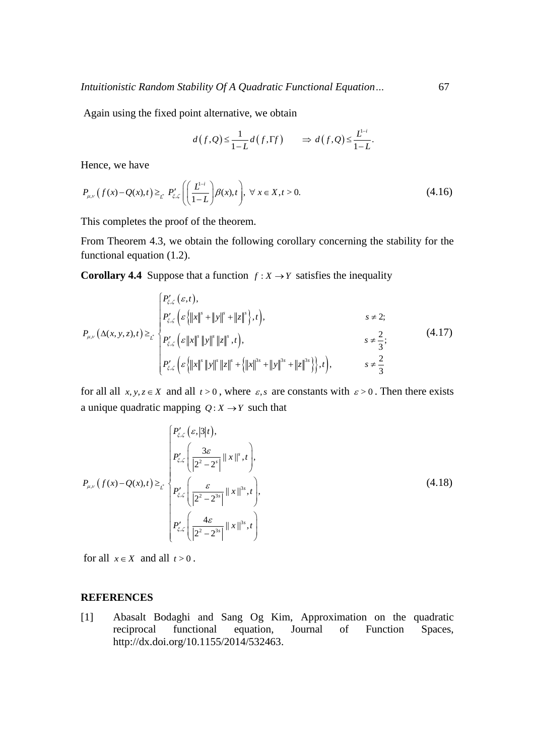Again using the fixed point alternative, we obtain

$$
d(f,Q) \leq \frac{1}{1-L} d(f,\Gamma f) \qquad \Rightarrow d(f,Q) \leq \frac{L^{1-i}}{1-L}.
$$

Hence, we have

Hence, we have  
\n
$$
P_{\mu,\nu}(f(x) - Q(x),t) \geq_{\nu} P'_{\xi,\zeta} \left( \left( \frac{L^{1-i}}{1-L} \right) \beta(x),t \right), \ \forall \ x \in X, t > 0.
$$
\n(4.16)

This completes the proof of the theorem.

From Theorem 4.3, we obtain the following corollary concerning the stability for the functional equation (1.2).

Corollary 4.4 Suppose that a function 
$$
f: X \to Y
$$
 satisfies the inequality\n
$$
\begin{cases}\nP'_{\xi,\zeta}(\varepsilon,t), \\
P'_{\xi,\zeta}(\varepsilon\{|x\|^s + \|y\|^s + \|z\|^s),t), \\
P'_{\xi,\zeta}(\varepsilon\{|x\|^s \|y\|^s \|z\|^s,t),\n\end{cases}\n s \neq 2;\n
$$
P_{\mu,\nu}(\Delta(x,y,z),t) \geq t \begin{cases}\nP'_{\xi,\zeta}(\varepsilon\|x\|^s \|y\|^s \|z\|^s,t), \\
P'_{\xi,\zeta}(\varepsilon\{|x\|^s \|y\|^s \|z\|^s + \|y\|^s + \|z\|^s)\},t), \n\end{cases}\n s \neq \frac{2}{3};\n \tag{4.17}
$$
$$

for all all  $x, y, z \in X$  and all  $t > 0$ , where  $\varepsilon$ , *s* are constants with  $\varepsilon > 0$ . Then there exists a unique quadratic mapping  $Q: X \rightarrow Y$  such that

$$
P_{\mu,\nu}(f(x)-Q(x),t) \geq \sum_{t} \left\{ P_{\xi,\zeta}^{\prime}\left(\frac{3\varepsilon}{|2^{2}-2^{s}|}||x||^{s},t\right), \right\}
$$
\n
$$
P_{\mu,\nu}(f(x)-Q(x),t) \geq \sum_{t} \left\{ P_{\xi,\zeta}^{\prime}\left(\frac{\varepsilon}{|2^{2}-2^{3s}|}||x||^{3s},t\right), \right\}
$$
\n
$$
P_{\xi,\zeta}^{\prime}\left(\frac{4\varepsilon}{|2^{2}-2^{3s}|}||x||^{3s},t\right) \right\}
$$
\n(4.18)

for all  $x \in X$  and all  $t > 0$ .

## **REFERENCES**

[1] Abasalt Bodaghi and Sang Og Kim, Approximation on the quadratic reciprocal functional equation, Journal of Function Spaces, [http://dx.doi.org/10.1155/2014/532463.](http://dx.doi.org/10.1155/2014/532463)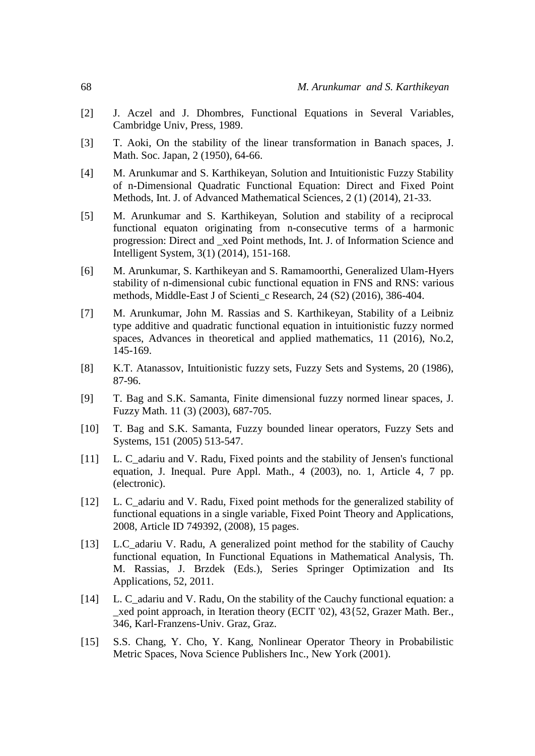- [2] J. Aczel and J. Dhombres, Functional Equations in Several Variables, Cambridge Univ, Press, 1989.
- [3] T. Aoki, On the stability of the linear transformation in Banach spaces, J. Math. Soc. Japan, 2 (1950), 64-66.
- [4] M. Arunkumar and S. Karthikeyan, Solution and Intuitionistic Fuzzy Stability of n-Dimensional Quadratic Functional Equation: Direct and Fixed Point Methods, Int. J. of Advanced Mathematical Sciences, 2 (1) (2014), 21-33.
- [5] M. Arunkumar and S. Karthikeyan, Solution and stability of a reciprocal functional equaton originating from n-consecutive terms of a harmonic progression: Direct and \_xed Point methods, Int. J. of Information Science and Intelligent System, 3(1) (2014), 151-168.
- [6] M. Arunkumar, S. Karthikeyan and S. Ramamoorthi, Generalized Ulam-Hyers stability of n-dimensional cubic functional equation in FNS and RNS: various methods, Middle-East J of Scienti\_c Research, 24 (S2) (2016), 386-404.
- [7] M. Arunkumar, John M. Rassias and S. Karthikeyan, Stability of a Leibniz type additive and quadratic functional equation in intuitionistic fuzzy normed spaces, Advances in theoretical and applied mathematics, 11 (2016), No.2, 145-169.
- [8] K.T. Atanassov, Intuitionistic fuzzy sets, Fuzzy Sets and Systems, 20 (1986), 87-96.
- [9] T. Bag and S.K. Samanta, Finite dimensional fuzzy normed linear spaces, J. Fuzzy Math. 11 (3) (2003), 687-705.
- [10] T. Bag and S.K. Samanta, Fuzzy bounded linear operators, Fuzzy Sets and Systems, 151 (2005) 513-547.
- [11] L. C adariu and V. Radu, Fixed points and the stability of Jensen's functional equation, J. Inequal. Pure Appl. Math., 4 (2003), no. 1, Article 4, 7 pp. (electronic).
- [12] L. C\_adariu and V. Radu, Fixed point methods for the generalized stability of functional equations in a single variable, Fixed Point Theory and Applications, 2008, Article ID 749392, (2008), 15 pages.
- [13] L.C\_adariu V. Radu, A generalized point method for the stability of Cauchy functional equation, In Functional Equations in Mathematical Analysis, Th. M. Rassias, J. Brzdek (Eds.), Series Springer Optimization and Its Applications, 52, 2011.
- [14] L. C\_adariu and V. Radu, On the stability of the Cauchy functional equation: a \_xed point approach, in Iteration theory (ECIT '02), 43{52, Grazer Math. Ber., 346, Karl-Franzens-Univ. Graz, Graz.
- [15] S.S. Chang, Y. Cho, Y. Kang, Nonlinear Operator Theory in Probabilistic Metric Spaces, Nova Science Publishers Inc., New York (2001).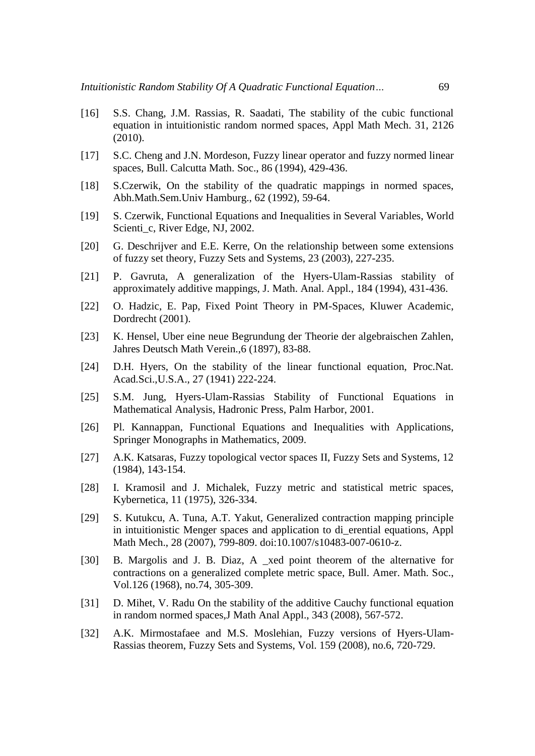- [16] S.S. Chang, J.M. Rassias, R. Saadati, The stability of the cubic functional equation in intuitionistic random normed spaces, Appl Math Mech. 31, 2126 (2010).
- [17] S.C. Cheng and J.N. Mordeson, Fuzzy linear operator and fuzzy normed linear spaces, Bull. Calcutta Math. Soc., 86 (1994), 429-436.
- [18] S.Czerwik, On the stability of the quadratic mappings in normed spaces, Abh.Math.Sem.Univ Hamburg., 62 (1992), 59-64.
- [19] S. Czerwik, Functional Equations and Inequalities in Several Variables, World Scienti\_c, River Edge, NJ, 2002.
- [20] G. Deschrijver and E.E. Kerre, On the relationship between some extensions of fuzzy set theory, Fuzzy Sets and Systems, 23 (2003), 227-235.
- [21] P. Gavruta, A generalization of the Hyers-Ulam-Rassias stability of approximately additive mappings, J. Math. Anal. Appl., 184 (1994), 431-436.
- [22] O. Hadzic, E. Pap, Fixed Point Theory in PM-Spaces, Kluwer Academic, Dordrecht (2001).
- [23] K. Hensel, Uber eine neue Begrundung der Theorie der algebraischen Zahlen, Jahres Deutsch Math Verein.,6 (1897), 83-88.
- [24] D.H. Hyers, On the stability of the linear functional equation, Proc.Nat. Acad.Sci.,U.S.A., 27 (1941) 222-224.
- [25] S.M. Jung, Hyers-Ulam-Rassias Stability of Functional Equations in Mathematical Analysis, Hadronic Press, Palm Harbor, 2001.
- [26] Pl. Kannappan, Functional Equations and Inequalities with Applications, Springer Monographs in Mathematics, 2009.
- [27] A.K. Katsaras, Fuzzy topological vector spaces II, Fuzzy Sets and Systems, 12 (1984), 143-154.
- [28] I. Kramosil and J. Michalek, Fuzzy metric and statistical metric spaces, Kybernetica, 11 (1975), 326-334.
- [29] S. Kutukcu, A. Tuna, A.T. Yakut, Generalized contraction mapping principle in intuitionistic Menger spaces and application to di\_erential equations, Appl Math Mech., 28 (2007), 799-809. doi:10.1007/s10483-007-0610-z.
- [30] B. Margolis and J. B. Diaz, A \_xed point theorem of the alternative for contractions on a generalized complete metric space, Bull. Amer. Math. Soc., Vol.126 (1968), no.74, 305-309.
- [31] D. Mihet, V. Radu On the stability of the additive Cauchy functional equation in random normed spaces,J Math Anal Appl., 343 (2008), 567-572.
- [32] A.K. Mirmostafaee and M.S. Moslehian, Fuzzy versions of Hyers-Ulam-Rassias theorem, Fuzzy Sets and Systems, Vol. 159 (2008), no.6, 720-729.